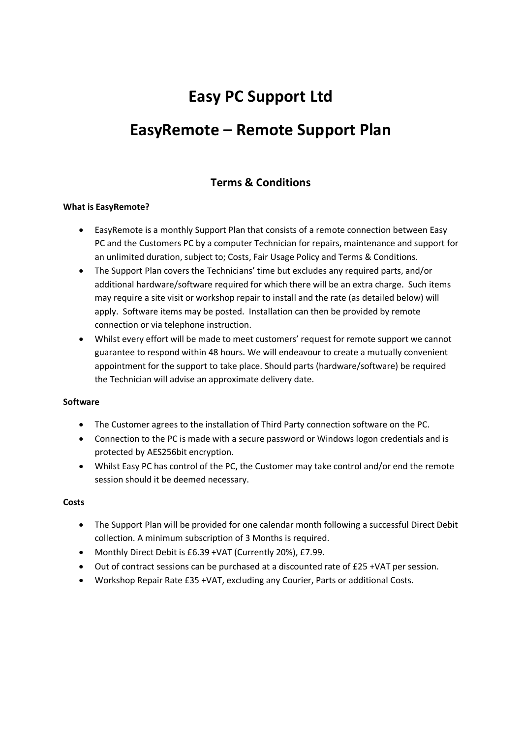# **Easy PC Support Ltd**

# **EasyRemote – Remote Support Plan**

## **Terms & Conditions**

#### **What is EasyRemote?**

- EasyRemote is a monthly Support Plan that consists of a remote connection between Easy PC and the Customers PC by a computer Technician for repairs, maintenance and support for an unlimited duration, subject to; Costs, Fair Usage Policy and Terms & Conditions.
- The Support Plan covers the Technicians' time but excludes any required parts, and/or additional hardware/software required for which there will be an extra charge. Such items may require a site visit or workshop repair to install and the rate (as detailed below) will apply. Software items may be posted. Installation can then be provided by remote connection or via telephone instruction.
- Whilst every effort will be made to meet customers' request for remote support we cannot guarantee to respond within 48 hours. We will endeavour to create a mutually convenient appointment for the support to take place. Should parts (hardware/software) be required the Technician will advise an approximate delivery date.

#### **Software**

- The Customer agrees to the installation of Third Party connection software on the PC.
- Connection to the PC is made with a secure password or Windows logon credentials and is protected by AES256bit encryption.
- Whilst Easy PC has control of the PC, the Customer may take control and/or end the remote session should it be deemed necessary.

#### **Costs**

- The Support Plan will be provided for one calendar month following a successful Direct Debit collection. A minimum subscription of 3 Months is required.
- Monthly Direct Debit is £6.39 +VAT (Currently 20%), £7.99.
- Out of contract sessions can be purchased at a discounted rate of £25 +VAT per session.
- Workshop Repair Rate £35 +VAT, excluding any Courier, Parts or additional Costs.